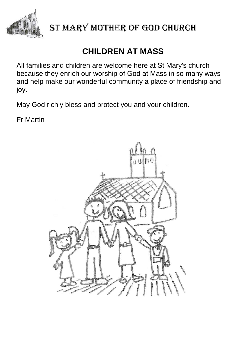

## **CHILDREN AT MASS**

All families and children are welcome here at St Mary's church because they enrich our worship of God at Mass in so many ways and help make our wonderful community a place of friendship and joy.

May God richly bless and protect you and your children.

Fr Martin

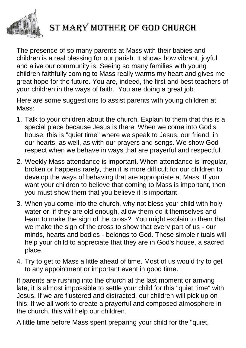

The presence of so many parents at Mass with their babies and children is a real blessing for our parish. It shows how vibrant, joyful and alive our community is. Seeing so many families with young children faithfully coming to Mass really warms my heart and gives me great hope for the future. You are, indeed, the first and best teachers of your children in the ways of faith. You are doing a great job.

Here are some suggestions to assist parents with young children at Mass:

- 1. Talk to your children about the church. Explain to them that this is a special place because Jesus is there. When we come into God's house, this is "quiet time" where we speak to Jesus, our friend, in our hearts, as well, as with our prayers and songs. We show God respect when we behave in ways that are prayerful and respectful.
- 2. Weekly Mass attendance is important. When attendance is irregular, broken or happens rarely, then it is more difficult for our children to develop the ways of behaving that are appropriate at Mass. If you want your children to believe that coming to Mass is important, then you must show them that you believe it is important.
- 3. When you come into the church, why not bless your child with holy water or, if they are old enough, allow them do it themselves and learn to make the sign of the cross? You might explain to them that we make the sign of the cross to show that every part of us - our minds, hearts and bodies - belongs to God. These simple rituals will help your child to appreciate that they are in God's house, a sacred place.
- 4. Try to get to Mass a little ahead of time. Most of us would try to get to any appointment or important event in good time.

If parents are rushing into the church at the last moment or arriving late, it is almost impossible to settle your child for this "quiet time" with Jesus. If we are flustered and distracted, our children will pick up on this. If we all work to create a prayerful and composed atmosphere in the church, this will help our children.

A little time before Mass spent preparing your child for the "quiet,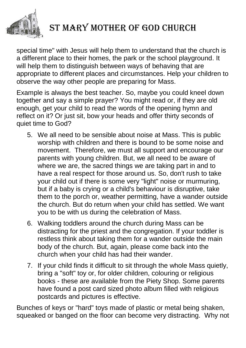

special time" with Jesus will help them to understand that the church is a different place to their homes, the park or the school playground. It will help them to distinguish between ways of behaving that are appropriate to different places and circumstances. Help your children to observe the way other people are preparing for Mass.

Example is always the best teacher. So, maybe you could kneel down together and say a simple prayer? You might read or, if they are old enough, get your child to read the words of the opening hymn and reflect on it? Or just sit, bow your heads and offer thirty seconds of quiet time to God?

- 5. We all need to be sensible about noise at Mass. This is public worship with children and there is bound to be some noise and movement. Therefore, we must all support and encourage our parents with young children. But, we all need to be aware of where we are, the sacred things we are taking part in and to have a real respect for those around us. So, don't rush to take your child out if there is some very "light" noise or murmuring, but if a baby is crying or a child's behaviour is disruptive, take them to the porch or, weather permitting, have a wander outside the church. But do return when your child has settled. We want you to be with us during the celebration of Mass.
- 6. Walking toddlers around the church during Mass can be distracting for the priest and the congregation. If your toddler is restless think about taking them for a wander outside the main body of the church. But, again, please come back into the church when your child has had their wander.
- 7. If your child finds it difficult to sit through the whole Mass quietly, bring a "soft" toy or, for older children, colouring or religious books - these are available from the Piety Shop. Some parents have found a post card sized photo album filled with religious postcards and pictures is effective.

Bunches of keys or "hard" toys made of plastic or metal being shaken, squeaked or banged on the floor can become very distracting. Why not